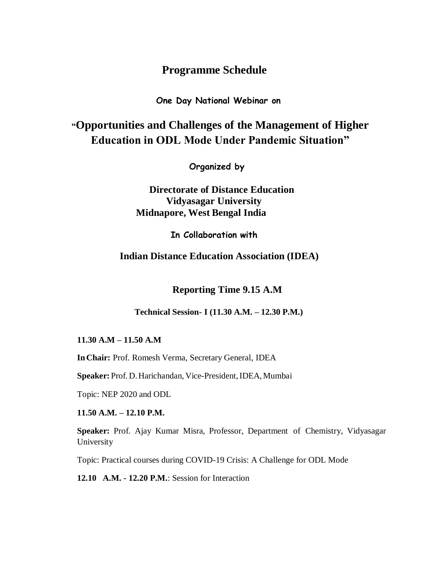# **Programme Schedule**

**One Day National Webinar on**

# **"Opportunities and Challenges of the Management of Higher Education in ODL Mode Under Pandemic Situation"**

**Organized by**

# **Directorate of Distance Education Vidyasagar University Midnapore, West Bengal India**

**In Collaboration with**

**Indian Distance Education Association (IDEA)**

 **Reporting Time 9.15 A.M** 

**Technical Session- I (11.30 A.M. – 12.30 P.M.)**

**11.30 A.M – 11.50 A.M**

**InChair:** Prof. Romesh Verma, Secretary General, IDEA

**Speaker:** Prof. D.Harichandan, Vice-President,IDEA, Mumbai

Topic: NEP 2020 and ODL

**11.50 A.M. – 12.10 P.M.**

**Speaker:** Prof. Ajay Kumar Misra, Professor, Department of Chemistry, Vidyasagar University

Topic: Practical courses during COVID-19 Crisis: A Challenge for ODL Mode

**12.10 A.M. - 12.20 P.M.**: Session for Interaction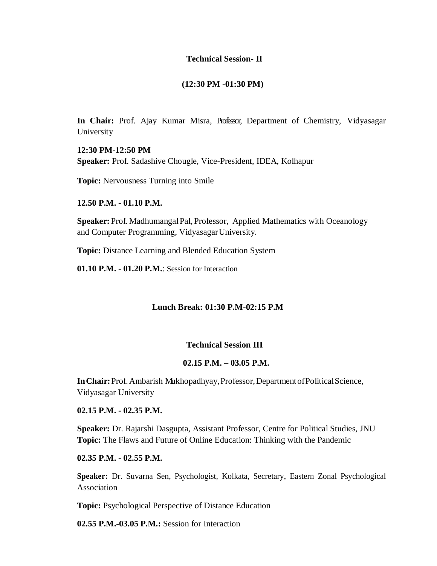## **Technical Session- II**

### **(12:30 PM -01:30 PM)**

In Chair: Prof. Ajay Kumar Misra, Professor, Department of Chemistry, Vidyasagar University

**12:30 PM-12:50 PM Speaker:** Prof. Sadashive Chougle, Vice-President, IDEA, Kolhapur

**Topic:** Nervousness Turning into Smile

**12.50 P.M. - 01.10 P.M.**

**Speaker:** Prof. Madhumangal Pal, Professor, Applied Mathematics with Oceanology and Computer Programming, VidyasagarUniversity.

**Topic:** Distance Learning and Blended Education System

**01.10 P.M. - 01.20 P.M.**: Session for Interaction

## **Lunch Break: 01:30 P.M-02:15 P.M**

### **Technical Session III**

#### **02.15 P.M. – 03.05 P.M.**

**InChair:**Prof.Ambarish Mukhopadhyay,Professor,DepartmentofPoliticalScience, Vidyasagar University

**02.15 P.M. - 02.35 P.M.**

**Speaker:** Dr. Rajarshi Dasgupta, Assistant Professor, Centre for Political Studies, JNU **Topic:** The Flaws and Future of Online Education: Thinking with the Pandemic

**02.35 P.M. - 02.55 P.M.**

**Speaker:** Dr. Suvarna Sen, Psychologist, Kolkata, Secretary, Eastern Zonal Psychological Association

**Topic:** Psychological Perspective of Distance Education

**02.55 P.M.-03.05 P.M.:** Session for Interaction